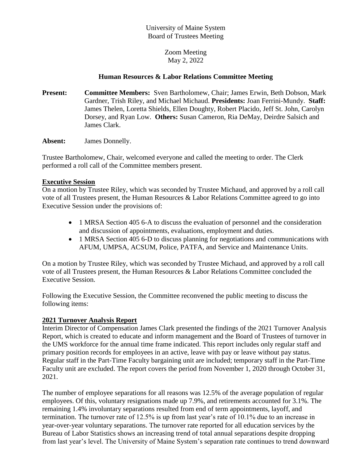### University of Maine System Board of Trustees Meeting

Zoom Meeting May 2, 2022

### **Human Resources & Labor Relations Committee Meeting**

**Present: Committee Members:** Sven Bartholomew, Chair; James Erwin, Beth Dobson, Mark Gardner, Trish Riley, and Michael Michaud. **Presidents:** Joan Ferrini-Mundy. **Staff:** James Thelen, Loretta Shields, Ellen Doughty, Robert Placido, Jeff St. John, Carolyn Dorsey, and Ryan Low. **Others:** Susan Cameron, Ria DeMay, Deirdre Salsich and James Clark.

**Absent:** James Donnelly.

Trustee Bartholomew, Chair, welcomed everyone and called the meeting to order. The Clerk performed a roll call of the Committee members present.

#### **Executive Session**

On a motion by Trustee Riley, which was seconded by Trustee Michaud, and approved by a roll call vote of all Trustees present, the Human Resources & Labor Relations Committee agreed to go into Executive Session under the provisions of:

- 1 MRSA Section 405 6-A to discuss the evaluation of personnel and the consideration and discussion of appointments, evaluations, employment and duties.
- 1 MRSA Section 405 6-D to discuss planning for negotiations and communications with AFUM, UMPSA, ACSUM, Police, PATFA, and Service and Maintenance Units.

On a motion by Trustee Riley, which was seconded by Trustee Michaud, and approved by a roll call vote of all Trustees present, the Human Resources & Labor Relations Committee concluded the Executive Session.

Following the Executive Session, the Committee reconvened the public meeting to discuss the following items:

# **2021 Turnover Analysis Report**

Interim Director of Compensation James Clark presented the findings of the 2021 Turnover Analysis Report, which is created to educate and inform management and the Board of Trustees of turnover in the UMS workforce for the annual time frame indicated. This report includes only regular staff and primary position records for employees in an active, leave with pay or leave without pay status. Regular staff in the Part-Time Faculty bargaining unit are included; temporary staff in the Part-Time Faculty unit are excluded. The report covers the period from November 1, 2020 through October 31, 2021.

The number of employee separations for all reasons was 12.5% of the average population of regular employees. Of this, voluntary resignations made up 7.9%, and retirements accounted for 3.1%. The remaining 1.4% involuntary separations resulted from end of term appointments, layoff, and termination. The turnover rate of 12.5% is up from last year's rate of 10.1% due to an increase in year-over-year voluntary separations. The turnover rate reported for all education services by the Bureau of Labor Statistics shows an increasing trend of total annual separations despite dropping from last year's level. The University of Maine System's separation rate continues to trend downward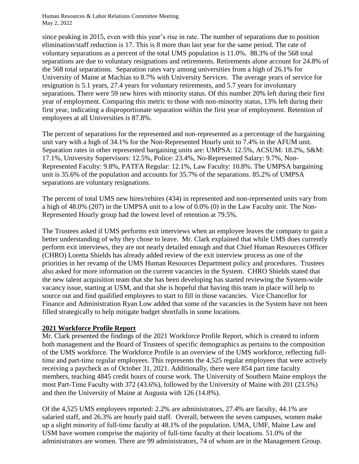Human Resources & Labor Relations Committee Meeting May 2, 2022

since peaking in 2015, even with this year's rise in rate. The number of separations due to position elimination/staff reduction is 17. This is 8 more than last year for the same period. The rate of voluntary separations as a percent of the total UMS population is 11.0%. 88.3% of the 568 total separations are due to voluntary resignations and retirements. Retirements alone account for 24.8% of the 568 total separations. Separation rates vary among universities from a high of 26.1% for University of Maine at Machias to 8.7% with University Services. The average years of service for resignation is 5.1 years, 27.4 years for voluntary retirements, and 5.7 years for involuntary separations. There were 59 new hires with minority status. Of this number 20% left during their first year of employment. Comparing this metric to those with non-minority status, 13% left during their first year, indicating a disproportionate separation within the first year of employment. Retention of employees at all Universities is 87.8%.

The percent of separations for the represented and non-represented as a percentage of the bargaining unit vary with a high of 34.1% for the Non-Represented Hourly unit to 7.4% in the AFUM unit. Separation rates in other represented bargaining units are: UMPSA: 12.5%, ACSUM: 18.2%, S&M: 17.1%, University Supervisors: 12.5%, Police: 23.4%, No-Represented Salary: 9.7%, Non-Represented Faculty: 9.8%, PATFA Regular: 12.1%, Law Faculty: 10.8%. The UMPSA bargaining unit is 35.6% of the population and accounts for 35.7% of the separations. 85.2% of UMPSA separations are voluntary resignations.

The percent of total UMS new hires/rehires (434) in represented and non-represented units vary from a high of 48.0% (207) in the UMPSA unit to a low of 0.0% (0) in the Law Faculty unit. The Non-Represented Hourly group had the lowest level of retention at 79.5%.

The Trustees asked if UMS performs exit interviews when an employee leaves the company to gain a better understanding of why they chose to leave. Mr. Clark explained that while UMS does currently perform exit interviews, they are not nearly detailed enough and that Chief Human Resources Officer (CHRO) Loretta Shields has already added review of the exit interview process as one of the priorities in her revamp of the UMS Human Resources Department policy and procedures. Trustees also asked for more information on the current vacancies in the System. CHRO Shields stated that the new talent acquisition team that she has been developing has started reviewing the System-wide vacancy issue, starting at USM, and that she is hopeful that having this team in place will help to source out and find qualified employees to start to fill in those vacancies. Vice Chancellor for Finance and Administration Ryan Low added that some of the vacancies in the System have not been filled strategically to help mitigate budget shortfalls in some locations.

# **2021 Workforce Profile Report**

Mr. Clark presented the findings of the 2021 Workforce Profile Report, which is created to inform both management and the Board of Trustees of specific demographics as pertains to the composition of the UMS workforce. The Workforce Profile is an overview of the UMS workforce, reflecting full‐ time and part-time regular employees. This represents the 4,525 regular employees that were actively receiving a paycheck as of October 31, 2021. Additionally, there were 854 part time faculty members, teaching 4845 credit hours of course work. The University of Southern Maine employs the most Part‐Time Faculty with 372 (43.6%), followed by the University of Maine with 201 (23.5%) and then the University of Maine at Augusta with 126 (14.8%).

Of the 4,525 UMS employees reported: 2.2% are administrators, 27.4% are faculty, 44.1% are salaried staff, and 26.3% are hourly paid staff. Overall, between the seven campuses, women make up a slight minority of full‐time faculty at 48.1% of the population. UMA, UMF, Maine Law and USM have women comprise the majority of full‐time faculty at their locations. 51.0% of the administrators are women. There are 99 administrators, 74 of whom are in the Management Group.